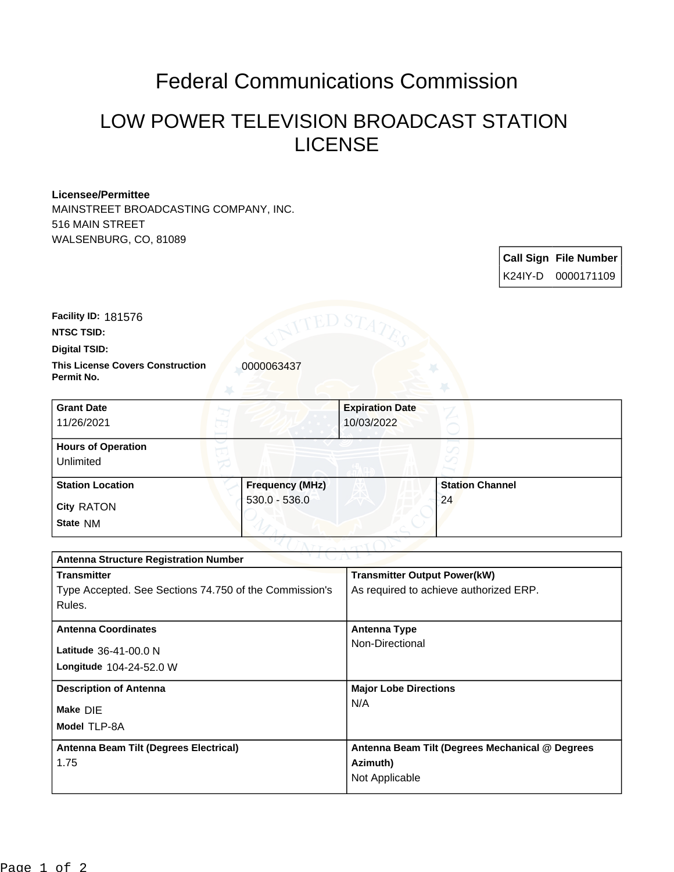## Federal Communications Commission

## LOW POWER TELEVISION BROADCAST STATION LICENSE

## **Licensee/Permittee**

MAINSTREET BROADCASTING COMPANY, INC. 516 MAIN STREET WALSENBURG, CO, 81089

| <b>Call Sign File Number</b> |
|------------------------------|
|                              |

**Facility ID:** 181576

**NTSC TSID:**

**Digital TSID:**

**This License Covers Construction**  0000063437 **Permit No.**

| <b>Grant Date</b><br>11/26/2021        |                        | <b>Expiration Date</b><br>10/03/2022 |                        |  |
|----------------------------------------|------------------------|--------------------------------------|------------------------|--|
| <b>Hours of Operation</b><br>Unlimited |                        |                                      |                        |  |
| <b>Station Location</b>                | <b>Frequency (MHz)</b> |                                      | <b>Station Channel</b> |  |
| <b>City RATON</b><br>State NM          | $530.0 - 536.0$        |                                      | 24                     |  |

| <b>Antenna Structure Registration Number</b>           |                                                 |  |  |
|--------------------------------------------------------|-------------------------------------------------|--|--|
| <b>Transmitter</b>                                     | <b>Transmitter Output Power(kW)</b>             |  |  |
| Type Accepted. See Sections 74.750 of the Commission's | As required to achieve authorized ERP.          |  |  |
| Rules.                                                 |                                                 |  |  |
| <b>Antenna Coordinates</b>                             | Antenna Type                                    |  |  |
|                                                        | Non-Directional                                 |  |  |
| Latitude 36-41-00.0 N                                  |                                                 |  |  |
| <b>Longitude 104-24-52.0 W</b>                         |                                                 |  |  |
| <b>Description of Antenna</b>                          | <b>Major Lobe Directions</b>                    |  |  |
| Make DIE                                               | N/A                                             |  |  |
| Model TLP-8A                                           |                                                 |  |  |
| Antenna Beam Tilt (Degrees Electrical)                 | Antenna Beam Tilt (Degrees Mechanical @ Degrees |  |  |
| 1.75                                                   | Azimuth)                                        |  |  |
|                                                        | Not Applicable                                  |  |  |
|                                                        |                                                 |  |  |